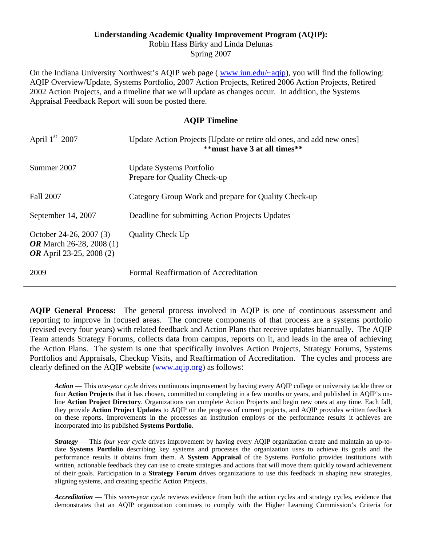### **Understanding Academic Quality Improvement Program (AQIP):**

Robin Hass Birky and Linda Delunas Spring 2007

On the Indiana University Northwest's AQIP web page (*www.iun.edu/~aqip*), you will find the following: AQIP Overview/Update, Systems Portfolio, 2007 Action Projects, Retired 2006 Action Projects, Retired 2002 Action Projects, and a timeline that we will update as changes occur. In addition, the Systems Appraisal Feedback Report will soon be posted there.

### **AQIP Timeline**

| April $1st$ 2007                                                                       | Update Action Projects [Update or retire old ones, and add new ones]<br>$**$ must have 3 at all times $**$ |
|----------------------------------------------------------------------------------------|------------------------------------------------------------------------------------------------------------|
| Summer 2007                                                                            | Update Systems Portfolio<br>Prepare for Quality Check-up                                                   |
| Fall 2007                                                                              | Category Group Work and prepare for Quality Check-up                                                       |
| September 14, 2007                                                                     | Deadline for submitting Action Projects Updates                                                            |
| October 24-26, 2007 (3)<br><b>OR</b> March 26-28, 2008 (1)<br>OR April 23-25, 2008 (2) | <b>Quality Check Up</b>                                                                                    |
| 2009                                                                                   | Formal Reaffirmation of Accreditation                                                                      |

 Portfolios and Appraisals, Checkup Visits, and Reaffirmation of Accreditation. The cycles and process are **AQIP General Process:** The general process involved in AQIP is one of continuous assessment and reporting to improve in focused areas. The concrete components of that process are a systems portfolio (revised every four years) with related feedback and Action Plans that receive updates biannually. The AQIP Team attends Strategy Forums, collects data from campus, reports on it, and leads in the area of achieving the Action Plans. The system is one that specifically involves Action Projects, Strategy Forums, Systems clearly defined on the AQIP website (www.aqip.org) as follows:

 *Action* — This *one-year cycle* drives continuous improvement by having every AQIP college or university tackle three or four **Action Projects** that it has chosen, committed to completing in a few months or years, and published in AQIP's online **Action Project Directory**. Organizations can complete Action Projects and begin new ones at any time. Each fall, they provide **Action Project Updates** to AQIP on the progress of current projects, and AQIP provides written feedback on these reports. Improvements in the processes an institution employs or the performance results it achieves are incorporated into its published **Systems Portfolio**.

 date **Systems Portfolio** describing key systems and processes the organization uses to achieve its goals and the written, actionable feedback they can use to create strategies and actions that will move them quickly toward achievement *Strategy* — This *four year cycle* drives improvement by having every AQIP organization create and maintain an up-toperformance results it obtains from them. A **System Appraisal** of the Systems Portfolio provides institutions with of their goals. Participation in a **Strategy Forum** drives organizations to use this feedback in shaping new strategies, aligning systems, and creating specific Action Projects.

*Accreditation* — This *seven-year cycle* reviews evidence from both the action cycles and strategy cycles, evidence that demonstrates that an AQIP organization continues to comply with the Higher Learning Commission's Criteria for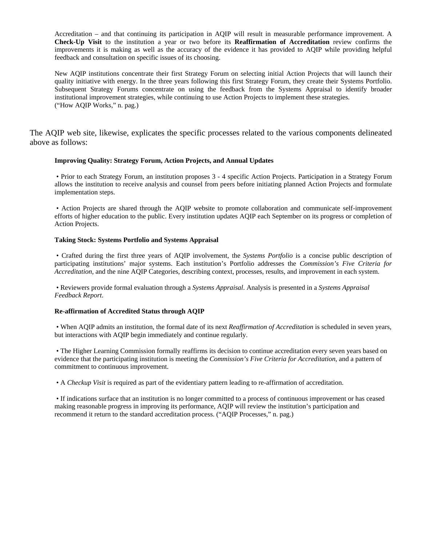Accreditation – and that continuing its participation in AQIP will result in measurable performance improvement. A **Check-Up Visit** to the institution a year or two before its **Reaffirmation of Accreditation** review confirms the improvements it is making as well as the accuracy of the evidence it has provided to AQIP while providing helpful feedback and consultation on specific issues of its choosing.

 Subsequent Strategy Forums concentrate on using the feedback from the Systems Appraisal to identify broader ("How AQIP Works," n. pag.) New AQIP institutions concentrate their first Strategy Forum on selecting initial Action Projects that will launch their quality initiative with energy. In the three years following this first Strategy Forum, they create their Systems Portfolio. institutional improvement strategies, while continuing to use Action Projects to implement these strategies.

The AQIP web site, likewise, explicates the specific processes related to the various components delineated above as follows:

#### **Improving Quality: Strategy Forum, Action Projects, and Annual Updates**

• Prior to each Strategy Forum, an institution proposes 3 - 4 specific Action Projects. Participation in a Strategy Forum allows the institution to receive analysis and counsel from peers before initiating planned Action Projects and formulate implementation steps.

• Action Projects are shared through the AQIP website to promote collaboration and communicate self-improvement efforts of higher education to the public. Every institution updates AQIP each September on its progress or completion of Action Projects.

#### **Taking Stock: Systems Portfolio and Systems Appraisal**

 • Crafted during the first three years of AQIP involvement, the *Systems Portfolio* is a concise public description of participating institutions' major systems. Each institution's Portfolio addresses the *Commission's Five Criteria for Accreditation*, and the nine AQIP Categories, describing context, processes, results, and improvement in each system.

 • Reviewers provide formal evaluation through a *Systems Appraisal*. Analysis is presented in a *Systems Appraisal Feedback Report*.

#### **Re-affirmation of Accredited Status through AQIP**

 • When AQIP admits an institution, the formal date of its next *Reaffirmation of Accreditation* is scheduled in seven years, but interactions with AQIP begin immediately and continue regularly.

 • The Higher Learning Commission formally reaffirms its decision to continue accreditation every seven years based on evidence that the participating institution is meeting the *Commission's Five Criteria for Accreditation*, and a pattern of commitment to continuous improvement.

• A *Checkup Visit* is required as part of the evidentiary pattern leading to re-affirmation of accreditation.

• If indications surface that an institution is no longer committed to a process of continuous improvement or has ceased making reasonable progress in improving its performance, AQIP will review the institution's participation and recommend it return to the standard accreditation process. ("AQIP Processes," n. pag.)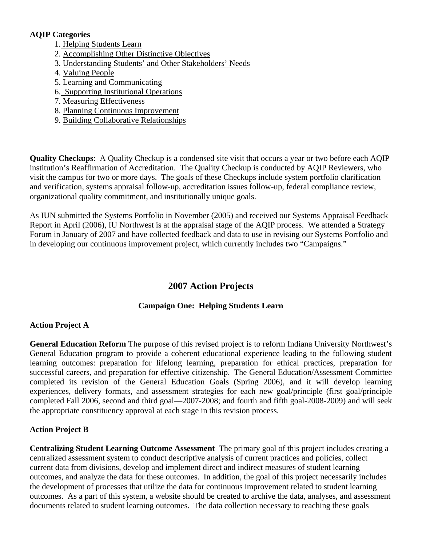## **AQIP Categories**

- 1. Helping Students Learn
- 2. Accomplishing Other Distinctive Objectives
- 3. Understanding Students' and Other Stakeholders' Needs
- 4. Valuing People
- 5. Learning and Communicating
- 6. Supporting Institutional Operations
- 7. Measuring Effectiveness
- 8. Planning Continuous Improvement
- 9. Building Collaborative Relationships

**Quality Checkups**: A Quality Checkup is a condensed site visit that occurs a year or two before each AQIP institution's Reaffirmation of Accreditation. The Quality Checkup is conducted by AQIP Reviewers, who visit the campus for two or more days. The goals of these Checkups include system portfolio clarification and verification, systems appraisal follow-up, accreditation issues follow-up, federal compliance review, organizational quality commitment, and institutionally unique goals.

As IUN submitted the Systems Portfolio in November (2005) and received our Systems Appraisal Feedback Report in April (2006), IU Northwest is at the appraisal stage of the AQIP process. We attended a Strategy Forum in January of 2007 and have collected feedback and data to use in revising our Systems Portfolio and in developing our continuous improvement project, which currently includes two "Campaigns."

# **2007 Action Projects**

## **Campaign One: Helping Students Learn**

## **Action Project A**

 successful careers, and preparation for effective citizenship. The General Education/Assessment Committee **General Education Reform** The purpose of this revised project is to reform Indiana University Northwest's General Education program to provide a coherent educational experience leading to the following student learning outcomes: preparation for lifelong learning, preparation for ethical practices, preparation for completed its revision of the General Education Goals (Spring 2006), and it will develop learning experiences, delivery formats, and assessment strategies for each new goal/principle (first goal/principle completed Fall 2006, second and third goal—2007-2008; and fourth and fifth goal-2008-2009) and will seek the appropriate constituency approval at each stage in this revision process.

## **Action Project B**

**Centralizing Student Learning Outcome Assessment** The primary goal of this project includes creating a centralized assessment system to conduct descriptive analysis of current practices and policies, collect current data from divisions, develop and implement direct and indirect measures of student learning outcomes, and analyze the data for these outcomes. In addition, the goal of this project necessarily includes the development of processes that utilize the data for continuous improvement related to student learning outcomes. As a part of this system, a website should be created to archive the data, analyses, and assessment documents related to student learning outcomes. The data collection necessary to reaching these goals